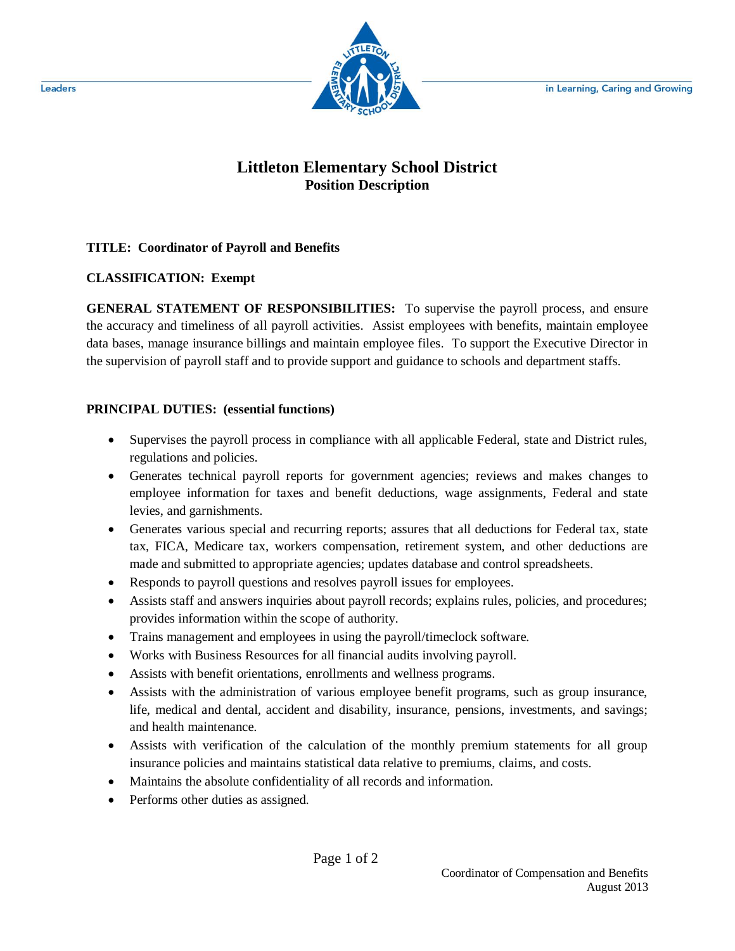

# **Littleton Elementary School District Position Description**

#### **TITLE: Coordinator of Payroll and Benefits**

## **CLASSIFICATION: Exempt**

**GENERAL STATEMENT OF RESPONSIBILITIES:** To supervise the payroll process, and ensure the accuracy and timeliness of all payroll activities. Assist employees with benefits, maintain employee data bases, manage insurance billings and maintain employee files. To support the Executive Director in the supervision of payroll staff and to provide support and guidance to schools and department staffs.

## **PRINCIPAL DUTIES: (essential functions)**

- Supervises the payroll process in compliance with all applicable Federal, state and District rules, regulations and policies.
- Generates technical payroll reports for government agencies; reviews and makes changes to employee information for taxes and benefit deductions, wage assignments, Federal and state levies, and garnishments.
- Generates various special and recurring reports; assures that all deductions for Federal tax, state tax, FICA, Medicare tax, workers compensation, retirement system, and other deductions are made and submitted to appropriate agencies; updates database and control spreadsheets.
- Responds to payroll questions and resolves payroll issues for employees.
- Assists staff and answers inquiries about payroll records; explains rules, policies, and procedures; provides information within the scope of authority.
- Trains management and employees in using the payroll/timeclock software.
- Works with Business Resources for all financial audits involving payroll.
- Assists with benefit orientations, enrollments and wellness programs.
- Assists with the administration of various employee benefit programs, such as group insurance, life, medical and dental, accident and disability, insurance, pensions, investments, and savings; and health maintenance.
- Assists with verification of the calculation of the monthly premium statements for all group insurance policies and maintains statistical data relative to premiums, claims, and costs.
- Maintains the absolute confidentiality of all records and information.
- Performs other duties as assigned.

Leaders